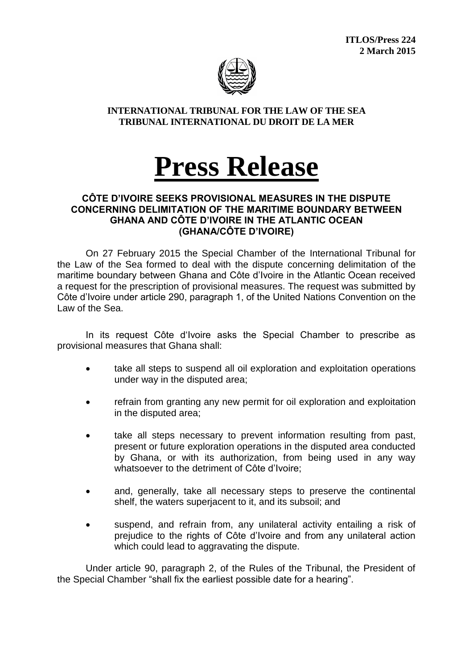**ITLOS/Press 224 2 March 2015**



## **INTERNATIONAL TRIBUNAL FOR THE LAW OF THE SEA TRIBUNAL INTERNATIONAL DU DROIT DE LA MER**

## **Press Release**

## **CÔTE D'IVOIRE SEEKS PROVISIONAL MEASURES IN THE DISPUTE CONCERNING DELIMITATION OF THE MARITIME BOUNDARY BETWEEN GHANA AND CÔTE D'IVOIRE IN THE ATLANTIC OCEAN (GHANA/CÔTE D'IVOIRE)**

On 27 February 2015 the Special Chamber of the International Tribunal for the Law of the Sea formed to deal with the dispute concerning delimitation of the maritime boundary between Ghana and Côte d'Ivoire in the Atlantic Ocean received a request for the prescription of provisional measures. The request was submitted by Côte d'Ivoire under article 290, paragraph 1, of the United Nations Convention on the Law of the Sea.

In its request Côte d'Ivoire asks the Special Chamber to prescribe as provisional measures that Ghana shall:

- take all steps to suspend all oil exploration and exploitation operations under way in the disputed area;
- refrain from granting any new permit for oil exploration and exploitation in the disputed area;
- take all steps necessary to prevent information resulting from past, present or future exploration operations in the disputed area conducted by Ghana, or with its authorization, from being used in any way whatsoever to the detriment of Côte d'Ivoire;
- and, generally, take all necessary steps to preserve the continental shelf, the waters superjacent to it, and its subsoil; and
- suspend, and refrain from, any unilateral activity entailing a risk of prejudice to the rights of Côte d'Ivoire and from any unilateral action which could lead to aggravating the dispute.

Under article 90, paragraph 2, of the Rules of the Tribunal, the President of the Special Chamber "shall fix the earliest possible date for a hearing".